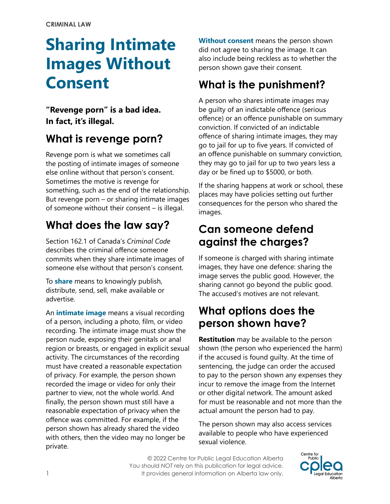# **Sharing Intimate Images Without Consent**

**"Revenge porn" is a bad idea. In fact, it's illegal.**

# **What is revenge porn?**

Revenge porn is what we sometimes call the posting of intimate images of someone else online without that person's consent. Sometimes the motive is revenge for something, such as the end of the relationship. But revenge porn – or sharing intimate images of someone without their consent – is illegal.

# **What does the law say?**

Section 162.1 of Canada's *Criminal Code* describes the criminal offence someone commits when they share intimate images of someone else without that person's consent.

To **share** means to knowingly publish, distribute, send, sell, make available or advertise.

An **intimate image** means a visual recording of a person, including a photo, film, or video recording. The intimate image must show the person nude, exposing their genitals or anal region or breasts, or engaged in explicit sexual activity. The circumstances of the recording must have created a reasonable expectation of privacy. For example, the person shown recorded the image or video for only their partner to view, not the whole world. And finally, the person shown must still have a reasonable expectation of privacy when the offence was committed. For example, if the person shown has already shared the video with others, then the video may no longer be private.

**Without consent** means the person shown did not agree to sharing the image. It can also include being reckless as to whether the person shown gave their consent.

# **What is the punishment?**

A person who shares intimate images may be guilty of an indictable offence (serious offence) or an offence punishable on summary conviction. If convicted of an indictable offence of sharing intimate images, they may go to jail for up to five years. If convicted of an offence punishable on summary conviction, they may go to jail for up to two years less a day or be fined up to \$5000, or both.

If the sharing happens at work or school, these places may have policies setting out further consequences for the person who shared the images.

## **Can someone defend against the charges?**

If someone is charged with sharing intimate images, they have one defence: sharing the image serves the public good. However, the sharing cannot go beyond the public good. The accused's motives are not relevant.

## **What options does the person shown have?**

**Restitution** may be available to the person shown (the person who experienced the harm) if the accused is found guilty. At the time of sentencing, the judge can order the accused to pay to the person shown any expenses they incur to remove the image from the Internet or other digital network. The amount asked for must be reasonable and not more than the actual amount the person had to pay.

The person shown may also access services available to people who have experienced sexual violence.